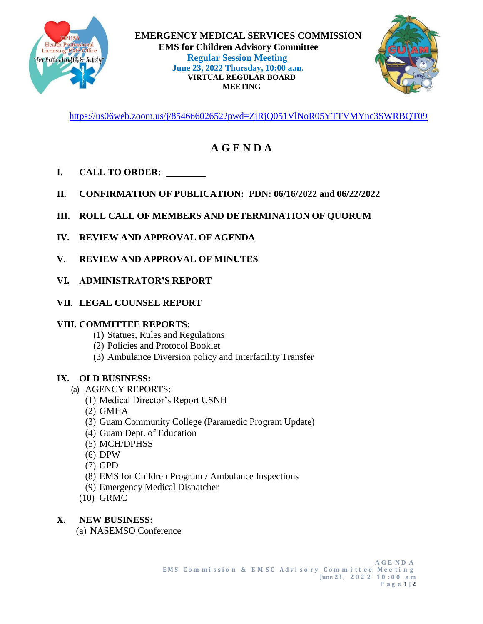



<https://us06web.zoom.us/j/85466602652?pwd=ZjRjQ051VlNoR05YTTVMYnc3SWRBQT09>

## **A G E N D A**

- **I. CALL TO ORDER:**
- **II. CONFIRMATION OF PUBLICATION: PDN: 06/16/2022 and 06/22/2022**
- **III. ROLL CALL OF MEMBERS AND DETERMINATION OF QUORUM**
- **IV. REVIEW AND APPROVAL OF AGENDA**
- **V. REVIEW AND APPROVAL OF MINUTES**
- **VI. ADMINISTRATOR'S REPORT**
- **VII. LEGAL COUNSEL REPORT**

## **VIII. COMMITTEE REPORTS:**

- (1) Statues, Rules and Regulations
- (2) Policies and Protocol Booklet
- (3) Ambulance Diversion policy and Interfacility Transfer

## **IX. OLD BUSINESS:**

- (a) AGENCY REPORTS:
	- (1) Medical Director's Report USNH
		- (2) GMHA
		- (3) Guam Community College (Paramedic Program Update)
		- (4) Guam Dept. of Education
		- (5) MCH/DPHSS
		- (6) DPW
		- (7) GPD
		- (8) EMS for Children Program / Ambulance Inspections
	- (9) Emergency Medical Dispatcher
	- (10) GRMC

## **X. NEW BUSINESS:**

(a) NASEMSO Conference